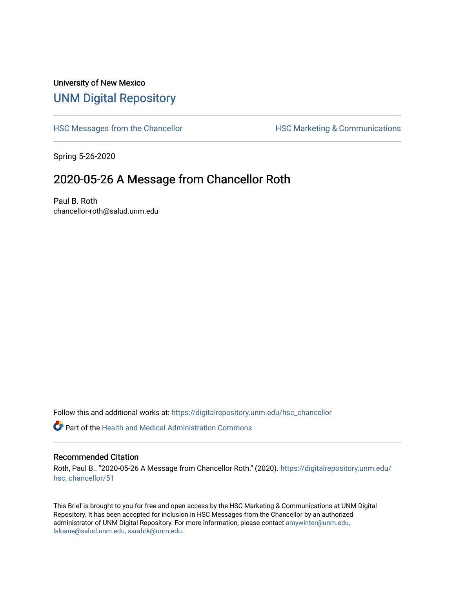## University of New Mexico [UNM Digital Repository](https://digitalrepository.unm.edu/)

[HSC Messages from the Chancellor](https://digitalrepository.unm.edu/hsc_chancellor) **HSC Marketing & Communications** 

Spring 5-26-2020

## 2020-05-26 A Message from Chancellor Roth

Paul B. Roth chancellor-roth@salud.unm.edu

Follow this and additional works at: [https://digitalrepository.unm.edu/hsc\\_chancellor](https://digitalrepository.unm.edu/hsc_chancellor?utm_source=digitalrepository.unm.edu%2Fhsc_chancellor%2F51&utm_medium=PDF&utm_campaign=PDFCoverPages) 

 $\bullet$  Part of the [Health and Medical Administration Commons](http://network.bepress.com/hgg/discipline/663?utm_source=digitalrepository.unm.edu%2Fhsc_chancellor%2F51&utm_medium=PDF&utm_campaign=PDFCoverPages)

## Recommended Citation

Roth, Paul B.. "2020-05-26 A Message from Chancellor Roth." (2020). [https://digitalrepository.unm.edu/](https://digitalrepository.unm.edu/hsc_chancellor/51?utm_source=digitalrepository.unm.edu%2Fhsc_chancellor%2F51&utm_medium=PDF&utm_campaign=PDFCoverPages) [hsc\\_chancellor/51](https://digitalrepository.unm.edu/hsc_chancellor/51?utm_source=digitalrepository.unm.edu%2Fhsc_chancellor%2F51&utm_medium=PDF&utm_campaign=PDFCoverPages) 

This Brief is brought to you for free and open access by the HSC Marketing & Communications at UNM Digital Repository. It has been accepted for inclusion in HSC Messages from the Chancellor by an authorized administrator of UNM Digital Repository. For more information, please contact [amywinter@unm.edu,](mailto:amywinter@unm.edu,%20lsloane@salud.unm.edu,%20sarahrk@unm.edu) [lsloane@salud.unm.edu, sarahrk@unm.edu.](mailto:amywinter@unm.edu,%20lsloane@salud.unm.edu,%20sarahrk@unm.edu)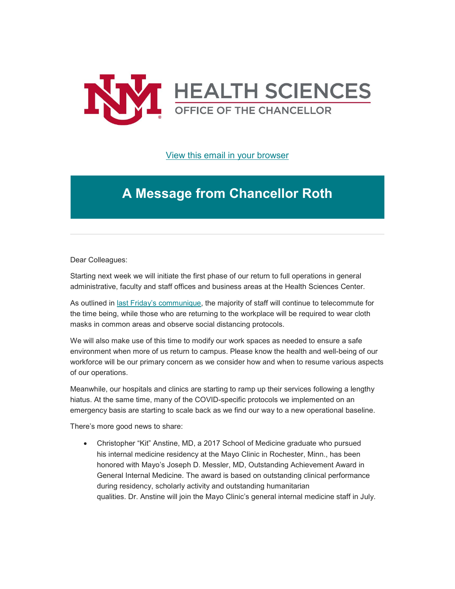

[View this email in your browser](https://mailchi.mp/f4ea0314fac3/message-from-the-chancellor-coronavirus-4423332?e=b4bbfca2c0)

## **A Message from Chancellor Roth**

Dear Colleagues:

Starting next week we will initiate the first phase of our return to full operations in general administrative, faculty and staff offices and business areas at the Health Sciences Center.

As outlined in last Friday's [communique,](https://unm.us19.list-manage.com/track/click?u=59ce53c1a4dedb490bac78648&id=ee6c0e3ed4&e=b4bbfca2c0) the majority of staff will continue to telecommute for the time being, while those who are returning to the workplace will be required to wear cloth masks in common areas and observe social distancing protocols.

We will also make use of this time to modify our work spaces as needed to ensure a safe environment when more of us return to campus. Please know the health and well-being of our workforce will be our primary concern as we consider how and when to resume various aspects of our operations.

Meanwhile, our hospitals and clinics are starting to ramp up their services following a lengthy hiatus. At the same time, many of the COVID-specific protocols we implemented on an emergency basis are starting to scale back as we find our way to a new operational baseline.

There's more good news to share:

• Christopher "Kit" Anstine, MD, a 2017 School of Medicine graduate who pursued his internal medicine residency at the Mayo Clinic in Rochester, Minn., has been honored with Mayo's Joseph D. Messler, MD, Outstanding Achievement Award in General Internal Medicine. The award is based on outstanding clinical performance during residency, scholarly activity and outstanding humanitarian qualities. Dr. Anstine will join the Mayo Clinic's general internal medicine staff in July.